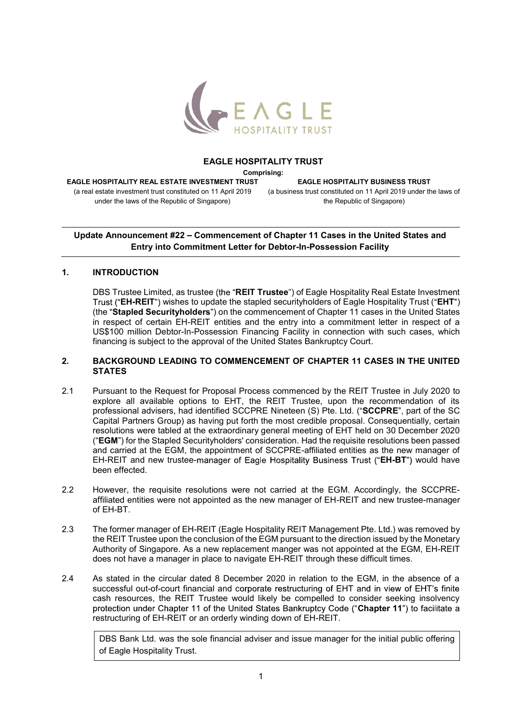

#### EAGLE HOSPITALITY TRUST

Comprising:

EAGLE HOSPITALITY REAL ESTATE INVESTMENT TRUST (a real estate investment trust constituted on 11 April 2019 under the laws of the Republic of Singapore)

EAGLE HOSPITALITY BUSINESS TRUST (a business trust constituted on 11 April 2019 under the laws of the Republic of Singapore)

# Update Announcement #22 - Commencement of Chapter 11 Cases in the United States and Entry into Commitment Letter for Debtor-In-Possession Facility

## 1. INTRODUCTION

DBS Trustee Limited, as trustee (the "REIT Trustee") of Eagle Hospitality Real Estate Investment Trust ("EH-REIT") wishes to update the stapled securityholders of Eagle Hospitality Trust ("EHT") (the "Stapled Securityholders") on the commencement of Chapter 11 cases in the United States in respect of certain EH-REIT entities and the entry into a commitment letter in respect of a US\$100 million Debtor-In-Possession Financing Facility in connection with such cases, which financing is subject to the approval of the United States Bankruptcy Court.

#### 2. BACKGROUND LEADING TO COMMENCEMENT OF CHAPTER 11 CASES IN THE UNITED **STATES**

- 2.1 Pursuant to the Request for Proposal Process commenced by the REIT Trustee in July 2020 to explore all available options to EHT, the REIT Trustee, upon the recommendation of its professional advisers, had identified SCCPRE Nineteen (S) Pte. Ltd. ("SCCPRE", part of the SC Capital Partners Group) as having put forth the most credible proposal. Consequentially, certain resolutions were tabled at the extraordinary general meeting of EHT held on 30 December 2020 ("EGM") for the Stapled Securityholders' consideration. Had the requisite resolutions been passed and carried at the EGM, the appointment of SCCPRE-affiliated entities as the new manager of EH-REIT and new trustee-manager of Eagle Hospitality Business Trust ("EH-BT") would have been effected.
- 2.2 However, the requisite resolutions were not carried at the EGM. Accordingly, the SCCPREaffiliated entities were not appointed as the new manager of EH-REIT and new trustee-manager of EH-BT.
- 2.3 The former manager of EH-REIT (Eagle Hospitality REIT Management Pte. Ltd.) was removed by the REIT Trustee upon the conclusion of the EGM pursuant to the direction issued by the Monetary Authority of Singapore. As a new replacement manger was not appointed at the EGM, EH-REIT does not have a manager in place to navigate EH-REIT through these difficult times.
- 2.4 As stated in the circular dated 8 December 2020 in relation to the EGM, in the absence of a successful out-of-court financial and corporate restructuring of EHT and in view of EHT's finite cash resources, the REIT Trustee would likely be compelled to consider seeking insolvency protection under Chapter 11 of the United States Bankruptcy Code ("Chapter 11") to facilitate a restructuring of EH-REIT or an orderly winding down of EH-REIT.

DBS Bank Ltd. was the sole financial adviser and issue manager for the initial public offering of Eagle Hospitality Trust.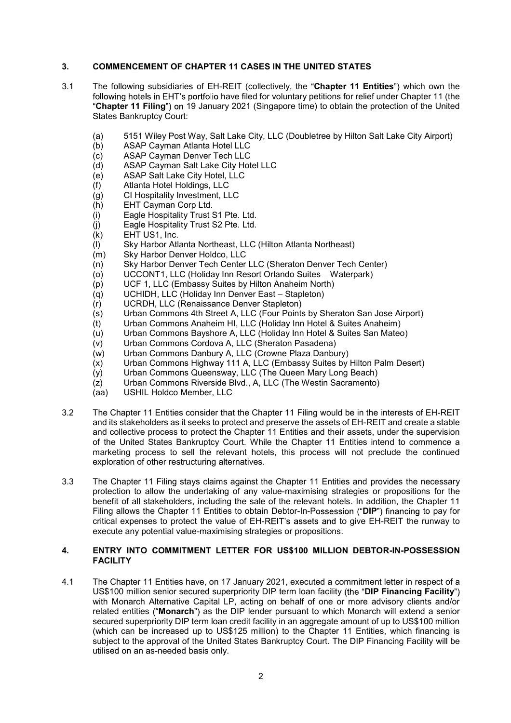# 3. COMMENCEMENT OF CHAPTER 11 CASES IN THE UNITED STATES

- 3.1 The following subsidiaries of EH-REIT (collectively, the "Chapter 11 Entities") which own the following hotels in EHT's portfolio have filed for voluntary petitions for relief under Chapter 11 (the "Chapter 11 Filing") on 19 January 2021 (Singapore time) to obtain the protection of the United States Bankruptcy Court:
	- (a) 5151 Wiley Post Way, Salt Lake City, LLC (Doubletree by Hilton Salt Lake City Airport)
	- (b) ASAP Cayman Atlanta Hotel LLC
	- (c) ASAP Cayman Denver Tech LLC
	- (d) ASAP Cayman Salt Lake City Hotel LLC
	- (e) ASAP Salt Lake City Hotel, LLC
	- (f) Atlanta Hotel Holdings, LLC
	- (g) CI Hospitality Investment, LLC
	- (h) EHT Cayman Corp Ltd.
	- (i) Eagle Hospitality Trust S1 Pte. Ltd.
	- (j) Eagle Hospitality Trust S2 Pte. Ltd.
	- $(k)$  EHT US1, Inc.
	- (l) Sky Harbor Atlanta Northeast, LLC (Hilton Atlanta Northeast)
	- (m) Sky Harbor Denver Holdco, LLC
	- (n) Sky Harbor Denver Tech Center LLC (Sheraton Denver Tech Center)
	- (o) UCCONT1, LLC (Holiday Inn Resort Orlando Suites Waterpark)
	- (p) UCF 1, LLC (Embassy Suites by Hilton Anaheim North)
	- $(q)$  UCHIDH, LLC (Holiday Inn Denver East Stapleton)
	- (r) UCRDH, LLC (Renaissance Denver Stapleton)
	- (s) Urban Commons 4th Street A, LLC (Four Points by Sheraton San Jose Airport)
	- (t) Urban Commons Anaheim HI, LLC (Holiday Inn Hotel & Suites Anaheim)
	- (u) Urban Commons Bayshore A, LLC (Holiday Inn Hotel & Suites San Mateo)
	- (v) Urban Commons Cordova A, LLC (Sheraton Pasadena)
	- (w) Urban Commons Danbury A, LLC (Crowne Plaza Danbury)
	- (x) Urban Commons Highway 111 A, LLC (Embassy Suites by Hilton Palm Desert)
	- (y) Urban Commons Queensway, LLC (The Queen Mary Long Beach)
	- (z) Urban Commons Riverside Blvd., A, LLC (The Westin Sacramento)
	- (aa) USHIL Holdco Member, LLC
- 3.2 The Chapter 11 Entities consider that the Chapter 11 Filing would be in the interests of EH-REIT and its stakeholders as it seeks to protect and preserve the assets of EH-REIT and create a stable and collective process to protect the Chapter 11 Entities and their assets, under the supervision of the United States Bankruptcy Court. While the Chapter 11 Entities intend to commence a marketing process to sell the relevant hotels, this process will not preclude the continued exploration of other restructuring alternatives.
- 3.3 The Chapter 11 Filing stays claims against the Chapter 11 Entities and provides the necessary protection to allow the undertaking of any value-maximising strategies or propositions for the benefit of all stakeholders, including the sale of the relevant hotels. In addition, the Chapter 11 Filing allows the Chapter 11 Entities to obtain Debtor-In-Possession ("DIP") financing to pay for critical expenses to protect the value of EH-REIT's assets and to give EH-REIT the runway to execute any potential value-maximising strategies or propositions.

#### 4. ENTRY INTO COMMITMENT LETTER FOR US\$100 MILLION DEBTOR-IN-POSSESSION FACILITY

4.1 The Chapter 11 Entities have, on 17 January 2021, executed a commitment letter in respect of a US\$100 million senior secured superpriority DIP term loan facility (the "DIP Financing Facility") with Monarch Alternative Capital LP, acting on behalf of one or more advisory clients and/or related entities ("Monarch") as the DIP lender pursuant to which Monarch will extend a senior secured superpriority DIP term loan credit facility in an aggregate amount of up to US\$100 million (which can be increased up to US\$125 million) to the Chapter 11 Entities, which financing is subject to the approval of the United States Bankruptcy Court. The DIP Financing Facility will be utilised on an as-needed basis only.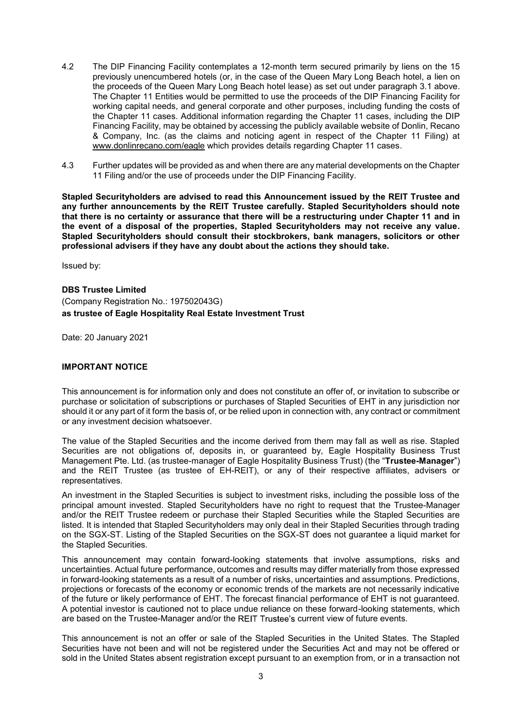- 4.2 The DIP Financing Facility contemplates a 12-month term secured primarily by liens on the 15 previously unencumbered hotels (or, in the case of the Queen Mary Long Beach hotel, a lien on the proceeds of the Queen Mary Long Beach hotel lease) as set out under paragraph 3.1 above. The Chapter 11 Entities would be permitted to use the proceeds of the DIP Financing Facility for working capital needs, and general corporate and other purposes, including funding the costs of the Chapter 11 cases. Additional information regarding the Chapter 11 cases, including the DIP Financing Facility, may be obtained by accessing the publicly available website of Donlin, Recano & Company, Inc. (as the claims and noticing agent in respect of the Chapter 11 Filing) at www.donlinrecano.com/eagle which provides details regarding Chapter 11 cases.
- 4.3 Further updates will be provided as and when there are any material developments on the Chapter 11 Filing and/or the use of proceeds under the DIP Financing Facility.

Stapled Securityholders are advised to read this Announcement issued by the REIT Trustee and any further announcements by the REIT Trustee carefully. Stapled Securityholders should note that there is no certainty or assurance that there will be a restructuring under Chapter 11 and in the event of a disposal of the properties, Stapled Securityholders may not receive any value. Stapled Securityholders should consult their stockbrokers, bank managers, solicitors or other professional advisers if they have any doubt about the actions they should take.

Issued by:

DBS Trustee Limited (Company Registration No.: 197502043G) as trustee of Eagle Hospitality Real Estate Investment Trust

Date: 20 January 2021

### IMPORTANT NOTICE

This announcement is for information only and does not constitute an offer of, or invitation to subscribe or purchase or solicitation of subscriptions or purchases of Stapled Securities of EHT in any jurisdiction nor should it or any part of it form the basis of, or be relied upon in connection with, any contract or commitment or any investment decision whatsoever.

The value of the Stapled Securities and the income derived from them may fall as well as rise. Stapled Securities are not obligations of, deposits in, or guaranteed by, Eagle Hospitality Business Trust Management Pte. Ltd. (as trustee-manager of Eagle Hospitality Business Trust) (the "Trustee-Manager") and the REIT Trustee (as trustee of EH-REIT), or any of their respective affiliates, advisers or representatives.

An investment in the Stapled Securities is subject to investment risks, including the possible loss of the principal amount invested. Stapled Securityholders have no right to request that the Trustee-Manager and/or the REIT Trustee redeem or purchase their Stapled Securities while the Stapled Securities are listed. It is intended that Stapled Securityholders may only deal in their Stapled Securities through trading on the SGX-ST. Listing of the Stapled Securities on the SGX-ST does not guarantee a liquid market for the Stapled Securities.

This announcement may contain forward-looking statements that involve assumptions, risks and uncertainties. Actual future performance, outcomes and results may differ materially from those expressed in forward-looking statements as a result of a number of risks, uncertainties and assumptions. Predictions, projections or forecasts of the economy or economic trends of the markets are not necessarily indicative of the future or likely performance of EHT. The forecast financial performance of EHT is not guaranteed. A potential investor is cautioned not to place undue reliance on these forward-looking statements, which are based on the Trustee-Manager and/or the REIT Trustee's current view of future events.

This announcement is not an offer or sale of the Stapled Securities in the United States. The Stapled Securities have not been and will not be registered under the Securities Act and may not be offered or sold in the United States absent registration except pursuant to an exemption from, or in a transaction not